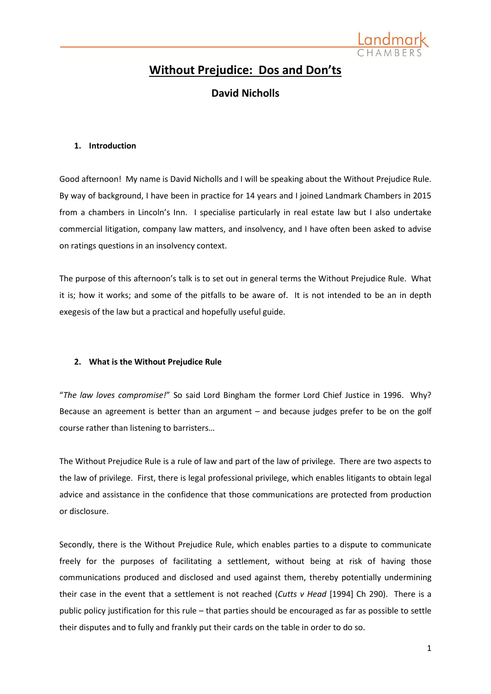

# **Without Prejudice: Dos and Don'ts**

## **David Nicholls**

### **1. Introduction**

Good afternoon! My name is David Nicholls and I will be speaking about the Without Prejudice Rule. By way of background, I have been in practice for 14 years and I joined Landmark Chambers in 2015 from a chambers in Lincoln's Inn. I specialise particularly in real estate law but I also undertake commercial litigation, company law matters, and insolvency, and I have often been asked to advise on ratings questions in an insolvency context.

The purpose of this afternoon's talk is to set out in general terms the Without Prejudice Rule. What it is; how it works; and some of the pitfalls to be aware of. It is not intended to be an in depth exegesis of the law but a practical and hopefully useful guide.

### **2. What is the Without Prejudice Rule**

"*The law loves compromise!*" So said Lord Bingham the former Lord Chief Justice in 1996. Why? Because an agreement is better than an argument – and because judges prefer to be on the golf course rather than listening to barristers…

The Without Prejudice Rule is a rule of law and part of the law of privilege. There are two aspects to the law of privilege. First, there is legal professional privilege, which enables litigants to obtain legal advice and assistance in the confidence that those communications are protected from production or disclosure.

Secondly, there is the Without Prejudice Rule, which enables parties to a dispute to communicate freely for the purposes of facilitating a settlement, without being at risk of having those communications produced and disclosed and used against them, thereby potentially undermining their case in the event that a settlement is not reached (*Cutts v Head* [1994] Ch 290). There is a public policy justification for this rule – that parties should be encouraged as far as possible to settle their disputes and to fully and frankly put their cards on the table in order to do so.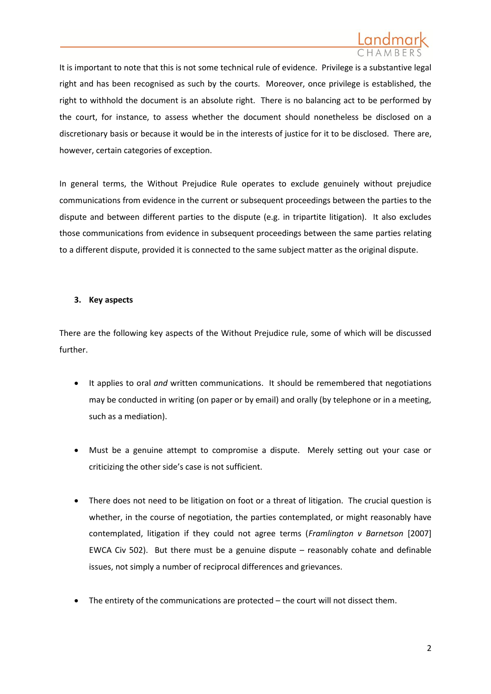

It is important to note that this is not some technical rule of evidence. Privilege is a substantive legal right and has been recognised as such by the courts. Moreover, once privilege is established, the right to withhold the document is an absolute right. There is no balancing act to be performed by the court, for instance, to assess whether the document should nonetheless be disclosed on a discretionary basis or because it would be in the interests of justice for it to be disclosed. There are, however, certain categories of exception.

In general terms, the Without Prejudice Rule operates to exclude genuinely without prejudice communications from evidence in the current or subsequent proceedings between the parties to the dispute and between different parties to the dispute (e.g. in tripartite litigation). It also excludes those communications from evidence in subsequent proceedings between the same parties relating to a different dispute, provided it is connected to the same subject matter as the original dispute.

### **3. Key aspects**

There are the following key aspects of the Without Prejudice rule, some of which will be discussed further.

- It applies to oral *and* written communications. It should be remembered that negotiations may be conducted in writing (on paper or by email) and orally (by telephone or in a meeting, such as a mediation).
- Must be a genuine attempt to compromise a dispute. Merely setting out your case or criticizing the other side's case is not sufficient.
- There does not need to be litigation on foot or a threat of litigation. The crucial question is whether, in the course of negotiation, the parties contemplated, or might reasonably have contemplated, litigation if they could not agree terms (*Framlington v Barnetson* [2007] EWCA Civ 502). But there must be a genuine dispute – reasonably cohate and definable issues, not simply a number of reciprocal differences and grievances.
- The entirety of the communications are protected the court will not dissect them.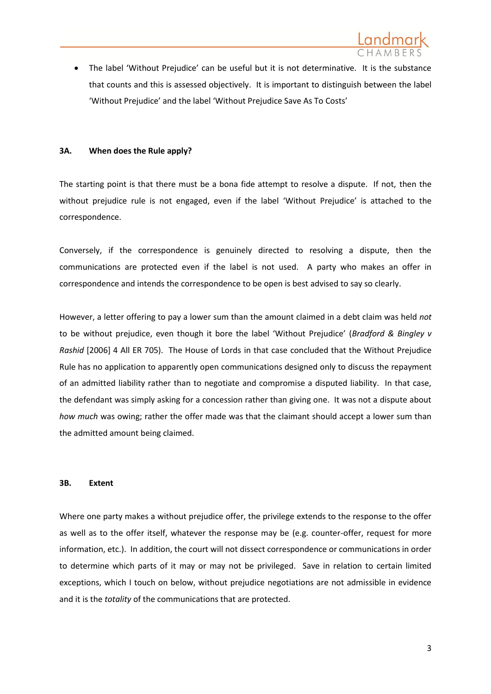The label 'Without Prejudice' can be useful but it is not determinative. It is the substance that counts and this is assessed objectively. It is important to distinguish between the label 'Without Prejudice' and the label 'Without Prejudice Save As To Costs'

### **3A. When does the Rule apply?**

The starting point is that there must be a bona fide attempt to resolve a dispute. If not, then the without prejudice rule is not engaged, even if the label 'Without Prejudice' is attached to the correspondence.

Conversely, if the correspondence is genuinely directed to resolving a dispute, then the communications are protected even if the label is not used. A party who makes an offer in correspondence and intends the correspondence to be open is best advised to say so clearly.

However, a letter offering to pay a lower sum than the amount claimed in a debt claim was held *not*  to be without prejudice, even though it bore the label 'Without Prejudice' (*Bradford & Bingley v Rashid* [2006] 4 All ER 705). The House of Lords in that case concluded that the Without Prejudice Rule has no application to apparently open communications designed only to discuss the repayment of an admitted liability rather than to negotiate and compromise a disputed liability. In that case, the defendant was simply asking for a concession rather than giving one. It was not a dispute about *how much* was owing; rather the offer made was that the claimant should accept a lower sum than the admitted amount being claimed.

### **3B. Extent**

Where one party makes a without prejudice offer, the privilege extends to the response to the offer as well as to the offer itself, whatever the response may be (e.g. counter-offer, request for more information, etc.). In addition, the court will not dissect correspondence or communications in order to determine which parts of it may or may not be privileged. Save in relation to certain limited exceptions, which I touch on below, without prejudice negotiations are not admissible in evidence and it is the *totality* of the communications that are protected.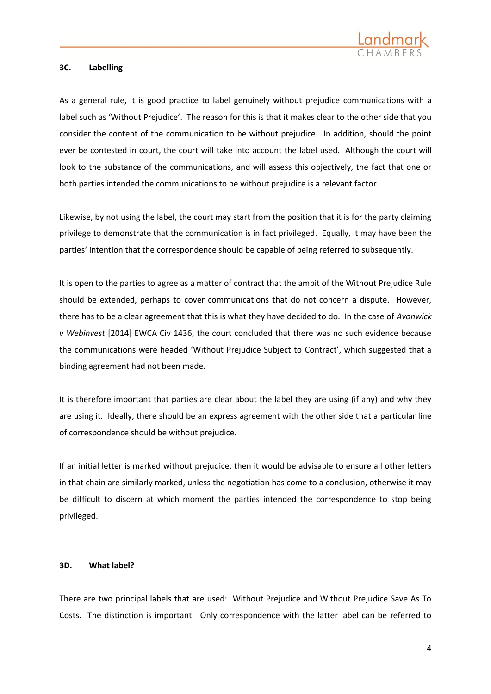

### **3C. Labelling**

As a general rule, it is good practice to label genuinely without prejudice communications with a label such as 'Without Prejudice'. The reason for this is that it makes clear to the other side that you consider the content of the communication to be without prejudice. In addition, should the point ever be contested in court, the court will take into account the label used. Although the court will look to the substance of the communications, and will assess this objectively, the fact that one or both parties intended the communications to be without prejudice is a relevant factor.

Likewise, by not using the label, the court may start from the position that it is for the party claiming privilege to demonstrate that the communication is in fact privileged. Equally, it may have been the parties' intention that the correspondence should be capable of being referred to subsequently.

It is open to the parties to agree as a matter of contract that the ambit of the Without Prejudice Rule should be extended, perhaps to cover communications that do not concern a dispute. However, there has to be a clear agreement that this is what they have decided to do. In the case of *Avonwick v Webinvest* [2014] EWCA Civ 1436, the court concluded that there was no such evidence because the communications were headed 'Without Prejudice Subject to Contract', which suggested that a binding agreement had not been made.

It is therefore important that parties are clear about the label they are using (if any) and why they are using it. Ideally, there should be an express agreement with the other side that a particular line of correspondence should be without prejudice.

If an initial letter is marked without prejudice, then it would be advisable to ensure all other letters in that chain are similarly marked, unless the negotiation has come to a conclusion, otherwise it may be difficult to discern at which moment the parties intended the correspondence to stop being privileged.

### **3D. What label?**

There are two principal labels that are used: Without Prejudice and Without Prejudice Save As To Costs. The distinction is important. Only correspondence with the latter label can be referred to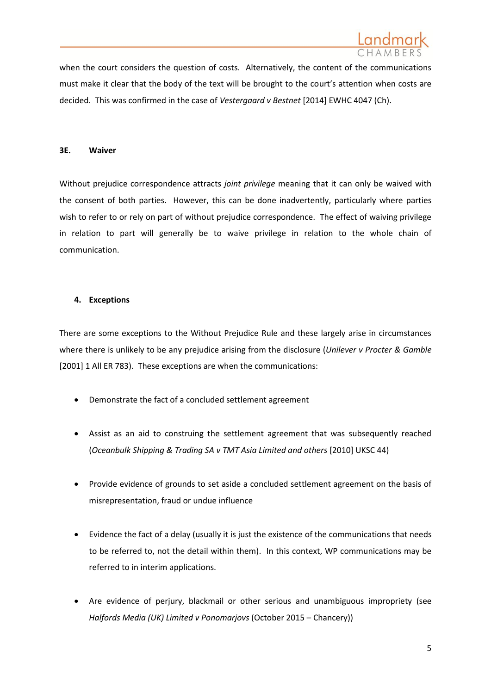when the court considers the question of costs. Alternatively, the content of the communications must make it clear that the body of the text will be brought to the court's attention when costs are decided. This was confirmed in the case of *Vestergaard v Bestnet* [2014] EWHC 4047 (Ch).

### **3E. Waiver**

Without prejudice correspondence attracts *joint privilege* meaning that it can only be waived with the consent of both parties. However, this can be done inadvertently, particularly where parties wish to refer to or rely on part of without prejudice correspondence. The effect of waiving privilege in relation to part will generally be to waive privilege in relation to the whole chain of communication.

### **4. Exceptions**

There are some exceptions to the Without Prejudice Rule and these largely arise in circumstances where there is unlikely to be any prejudice arising from the disclosure (*Unilever v Procter & Gamble*  [2001] 1 All ER 783). These exceptions are when the communications:

- Demonstrate the fact of a concluded settlement agreement
- Assist as an aid to construing the settlement agreement that was subsequently reached (*Oceanbulk Shipping & Trading SA v TMT Asia Limited and others* [2010] UKSC 44)
- Provide evidence of grounds to set aside a concluded settlement agreement on the basis of misrepresentation, fraud or undue influence
- Evidence the fact of a delay (usually it is just the existence of the communications that needs to be referred to, not the detail within them). In this context, WP communications may be referred to in interim applications.
- Are evidence of perjury, blackmail or other serious and unambiguous impropriety (see *Halfords Media (UK) Limited v Ponomarjovs* (October 2015 – Chancery))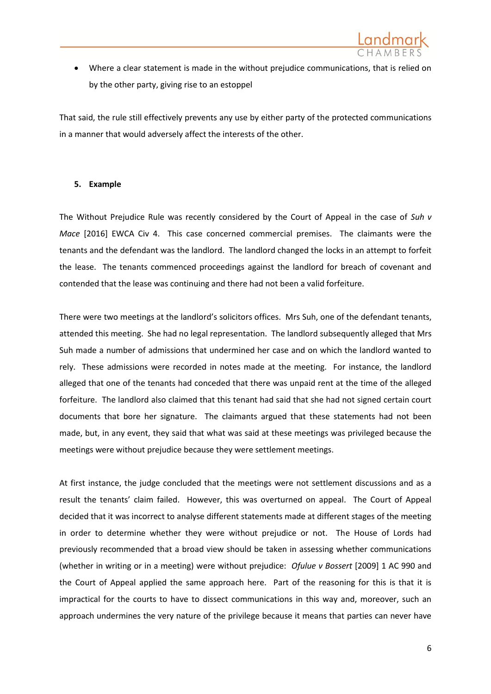

 Where a clear statement is made in the without prejudice communications, that is relied on by the other party, giving rise to an estoppel

That said, the rule still effectively prevents any use by either party of the protected communications in a manner that would adversely affect the interests of the other.

### **5. Example**

The Without Prejudice Rule was recently considered by the Court of Appeal in the case of *Suh v Mace* [2016] EWCA Civ 4. This case concerned commercial premises. The claimants were the tenants and the defendant was the landlord. The landlord changed the locks in an attempt to forfeit the lease. The tenants commenced proceedings against the landlord for breach of covenant and contended that the lease was continuing and there had not been a valid forfeiture.

There were two meetings at the landlord's solicitors offices. Mrs Suh, one of the defendant tenants, attended this meeting. She had no legal representation. The landlord subsequently alleged that Mrs Suh made a number of admissions that undermined her case and on which the landlord wanted to rely. These admissions were recorded in notes made at the meeting. For instance, the landlord alleged that one of the tenants had conceded that there was unpaid rent at the time of the alleged forfeiture. The landlord also claimed that this tenant had said that she had not signed certain court documents that bore her signature. The claimants argued that these statements had not been made, but, in any event, they said that what was said at these meetings was privileged because the meetings were without prejudice because they were settlement meetings.

At first instance, the judge concluded that the meetings were not settlement discussions and as a result the tenants' claim failed. However, this was overturned on appeal. The Court of Appeal decided that it was incorrect to analyse different statements made at different stages of the meeting in order to determine whether they were without prejudice or not. The House of Lords had previously recommended that a broad view should be taken in assessing whether communications (whether in writing or in a meeting) were without prejudice: *Ofulue v Bossert* [2009] 1 AC 990 and the Court of Appeal applied the same approach here. Part of the reasoning for this is that it is impractical for the courts to have to dissect communications in this way and, moreover, such an approach undermines the very nature of the privilege because it means that parties can never have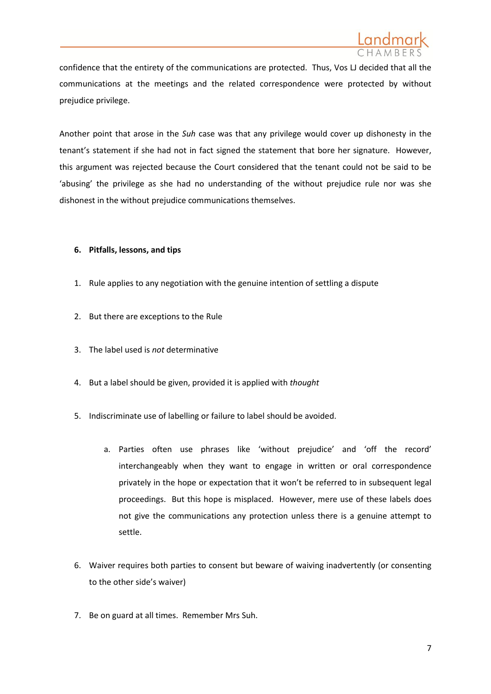

confidence that the entirety of the communications are protected. Thus, Vos LJ decided that all the communications at the meetings and the related correspondence were protected by without prejudice privilege.

Another point that arose in the *Suh* case was that any privilege would cover up dishonesty in the tenant's statement if she had not in fact signed the statement that bore her signature. However, this argument was rejected because the Court considered that the tenant could not be said to be 'abusing' the privilege as she had no understanding of the without prejudice rule nor was she dishonest in the without prejudice communications themselves.

### **6. Pitfalls, lessons, and tips**

- 1. Rule applies to any negotiation with the genuine intention of settling a dispute
- 2. But there are exceptions to the Rule
- 3. The label used is *not* determinative
- 4. But a label should be given, provided it is applied with *thought*
- 5. Indiscriminate use of labelling or failure to label should be avoided.
	- a. Parties often use phrases like 'without prejudice' and 'off the record' interchangeably when they want to engage in written or oral correspondence privately in the hope or expectation that it won't be referred to in subsequent legal proceedings. But this hope is misplaced. However, mere use of these labels does not give the communications any protection unless there is a genuine attempt to settle.
- 6. Waiver requires both parties to consent but beware of waiving inadvertently (or consenting to the other side's waiver)
- 7. Be on guard at all times. Remember Mrs Suh.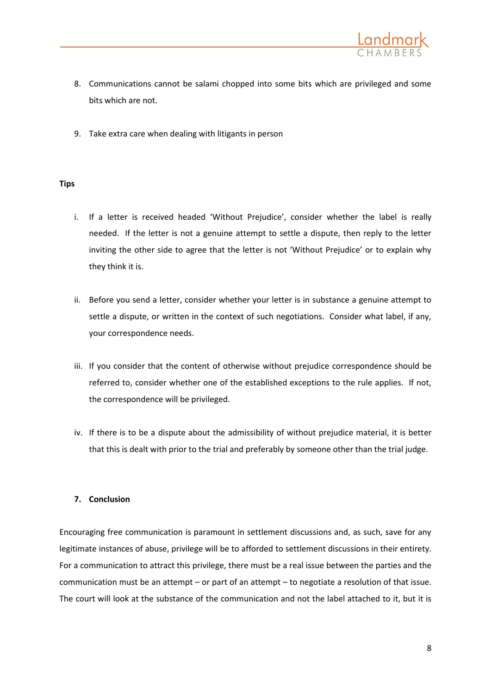

- 8. Communications cannot be salami chopped into some bits which are privileged and some bits which are not.
- 9. Take extra care when dealing with litigants in person

### **Tips**

- i. If a letter is received headed 'Without Prejudice', consider whether the label is really needed. If the letter is not a genuine attempt to settle a dispute, then reply to the letter inviting the other side to agree that the letter is not 'Without Prejudice' or to explain why they think it is.
- ii. Before you send a letter, consider whether your letter is in substance a genuine attempt to settle a dispute, or written in the context of such negotiations. Consider what label, if any, your correspondence needs.
- iii. If you consider that the content of otherwise without prejudice correspondence should be referred to, consider whether one of the established exceptions to the rule applies. If not, the correspondence will be privileged.
- iv. If there is to be a dispute about the admissibility of without prejudice material, it is better that this is dealt with prior to the trial and preferably by someone other than the trial judge.

### **7. Conclusion**

Encouraging free communication is paramount in settlement discussions and, as such, save for any legitimate instances of abuse, privilege will be to afforded to settlement discussions in their entirety. For a communication to attract this privilege, there must be a real issue between the parties and the communication must be an attempt – or part of an attempt – to negotiate a resolution of that issue. The court will look at the substance of the communication and not the label attached to it, but it is